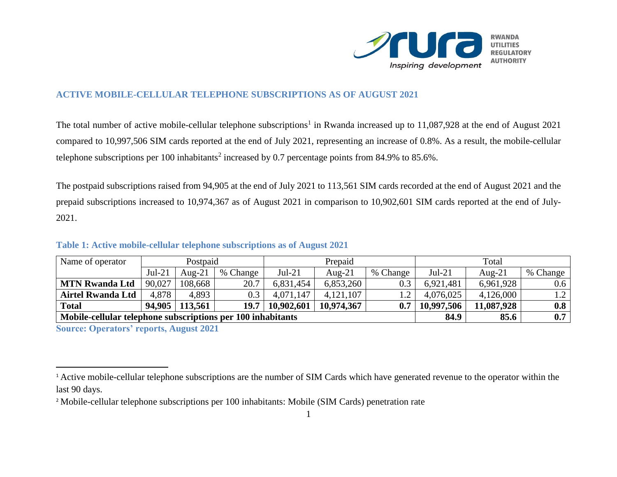

## **ACTIVE MOBILE-CELLULAR TELEPHONE SUBSCRIPTIONS AS OF AUGUST 2021**

The total number of active mobile-cellular telephone subscriptions<sup>1</sup> in Rwanda increased up to 11,087,928 at the end of August 2021 compared to 10,997,506 SIM cards reported at the end of July 2021, representing an increase of 0.8%. As a result, the mobile-cellular telephone subscriptions per 100 inhabitants<sup>2</sup> increased by 0.7 percentage points from 84.9% to 85.6%.

The postpaid subscriptions raised from 94,905 at the end of July 2021 to 113,561 SIM cards recorded at the end of August 2021 and the prepaid subscriptions increased to 10,974,367 as of August 2021 in comparison to 10,902,601 SIM cards reported at the end of July-2021.

| Name of operator                                            | Postpaid |                  |          | Prepaid    |            |          | Total      |            |          |
|-------------------------------------------------------------|----------|------------------|----------|------------|------------|----------|------------|------------|----------|
|                                                             | $Jul-21$ | Aug- $21$        | % Change | $Jul-21$   | Aug- $21$  | % Change | $Jul-21$   | Aug- $21$  | % Change |
| <b>MTN Rwanda Ltd</b>                                       | 90,027   | 108,668          | 20.7     | 6,831,454  | 6,853,260  | 0.3      | 6,921,481  | 6,961,928  | $0.6\,$  |
| <b>Airtel Rwanda Ltd</b>                                    | 4,878    | 4,893            | 0.3      | 4,071,147  | 4,121,107  |          | 4,076,025  | 4,126,000  | 1.2      |
| <b>Total</b>                                                |          | 94,905   113,561 | 19.7     | 10,902,601 | 10,974,367 | 0.7      | 10,997,506 | 11,087,928 | 0.8      |
| Mobile-cellular telephone subscriptions per 100 inhabitants |          |                  |          |            |            |          | 84.9       | 85.6       | 0.7      |

## **Table 1: Active mobile-cellular telephone subscriptions as of August 2021**

**Source: Operators' reports, August 2021**

 $\overline{a}$ 

<sup>&</sup>lt;sup>1</sup> Active mobile-cellular telephone subscriptions are the number of SIM Cards which have generated revenue to the operator within the last 90 days.

<sup>&</sup>lt;sup>2</sup> Mobile-cellular telephone subscriptions per 100 inhabitants: Mobile (SIM Cards) penetration rate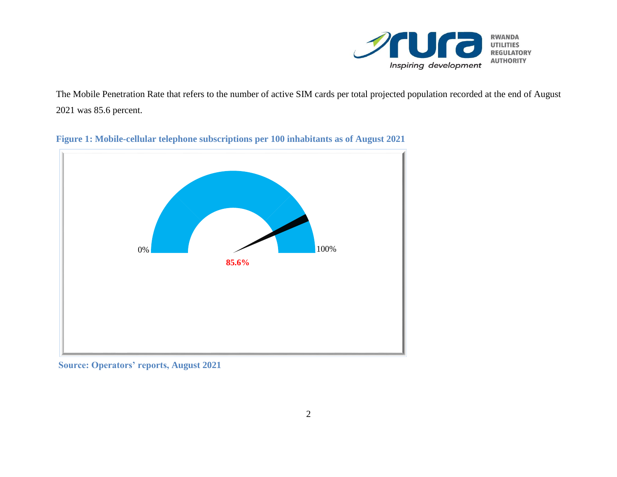

The Mobile Penetration Rate that refers to the number of active SIM cards per total projected population recorded at the end of August 2021 was 85.6 percent.



**Figure 1: Mobile-cellular telephone subscriptions per 100 inhabitants as of August 2021**

**Source: Operators' reports, August 2021**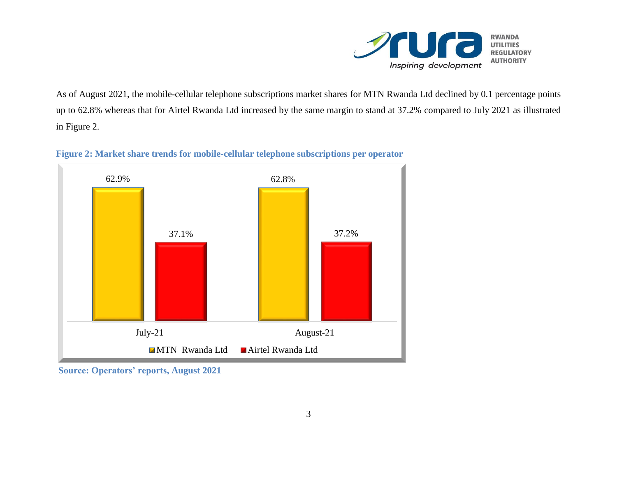

As of August 2021, the mobile-cellular telephone subscriptions market shares for MTN Rwanda Ltd declined by 0.1 percentage points up to 62.8% whereas that for Airtel Rwanda Ltd increased by the same margin to stand at 37.2% compared to July 2021 as illustrated in Figure 2.





**Source: Operators' reports, August 2021**